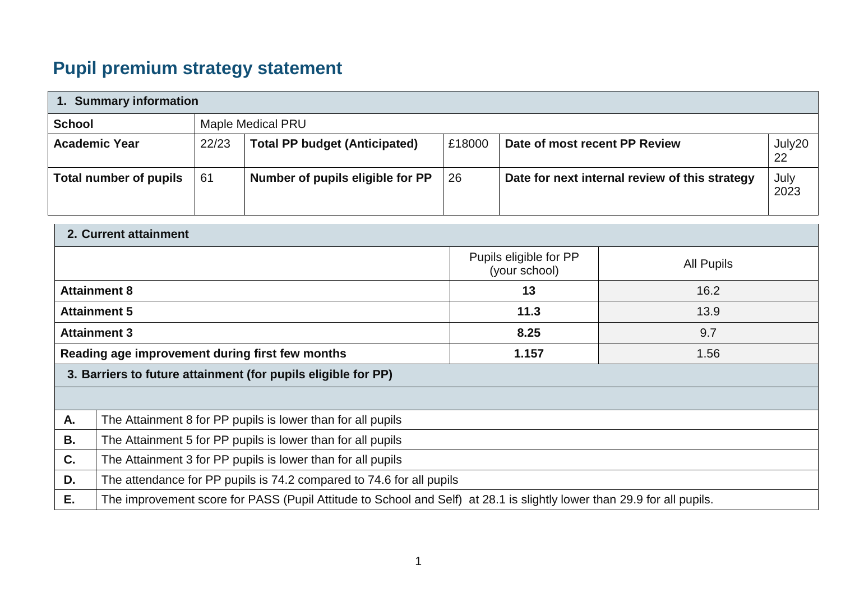## **Pupil premium strategy statement**

| 1. Summary information        |       |                                      |        |                                                |              |  |  |
|-------------------------------|-------|--------------------------------------|--------|------------------------------------------------|--------------|--|--|
| <b>School</b>                 |       | Maple Medical PRU                    |        |                                                |              |  |  |
| <b>Academic Year</b>          | 22/23 | <b>Total PP budget (Anticipated)</b> | £18000 | Date of most recent PP Review                  | July20<br>22 |  |  |
| <b>Total number of pupils</b> | 61    | Number of pupils eligible for PP     | 26     | Date for next internal review of this strategy | July<br>2023 |  |  |

| 2. Current attainment                                         |                                                                                                                        |                                         |                   |  |  |  |
|---------------------------------------------------------------|------------------------------------------------------------------------------------------------------------------------|-----------------------------------------|-------------------|--|--|--|
|                                                               |                                                                                                                        | Pupils eligible for PP<br>(your school) | <b>All Pupils</b> |  |  |  |
| <b>Attainment 8</b>                                           |                                                                                                                        | 13                                      | 16.2              |  |  |  |
| <b>Attainment 5</b>                                           |                                                                                                                        | 11.3                                    | 13.9              |  |  |  |
| <b>Attainment 3</b>                                           |                                                                                                                        | 8.25                                    | 9.7               |  |  |  |
|                                                               | 1.157<br>Reading age improvement during first few months<br>1.56                                                       |                                         |                   |  |  |  |
| 3. Barriers to future attainment (for pupils eligible for PP) |                                                                                                                        |                                         |                   |  |  |  |
|                                                               |                                                                                                                        |                                         |                   |  |  |  |
| A.                                                            | The Attainment 8 for PP pupils is lower than for all pupils                                                            |                                         |                   |  |  |  |
| <b>B.</b>                                                     | The Attainment 5 for PP pupils is lower than for all pupils                                                            |                                         |                   |  |  |  |
| C.                                                            | The Attainment 3 for PP pupils is lower than for all pupils                                                            |                                         |                   |  |  |  |
| D.                                                            | The attendance for PP pupils is 74.2 compared to 74.6 for all pupils                                                   |                                         |                   |  |  |  |
| Е.                                                            | The improvement score for PASS (Pupil Attitude to School and Self) at 28.1 is slightly lower than 29.9 for all pupils. |                                         |                   |  |  |  |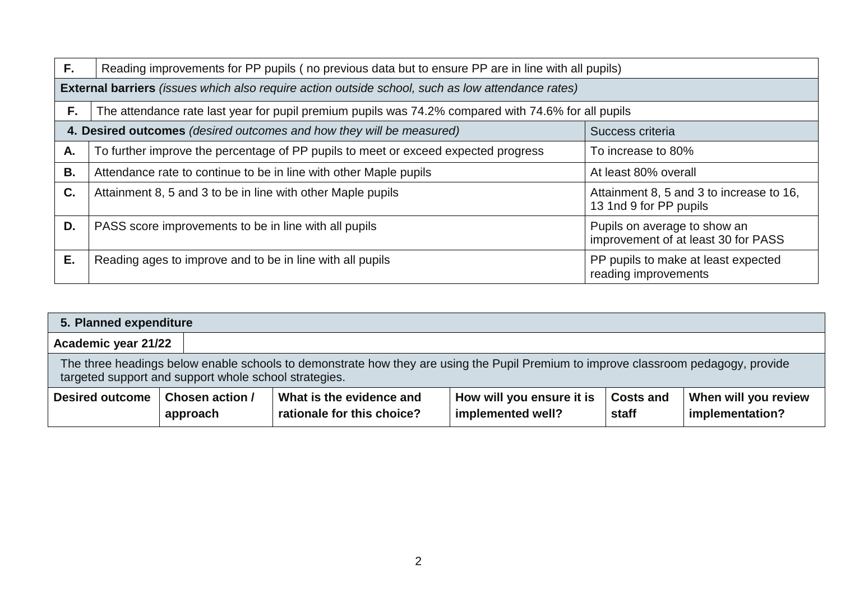| F. | Reading improvements for PP pupils (no previous data but to ensure PP are in line with all pupils)                                |                                                                     |  |  |  |  |
|----|-----------------------------------------------------------------------------------------------------------------------------------|---------------------------------------------------------------------|--|--|--|--|
|    | <b>External barriers</b> (issues which also require action outside school, such as low attendance rates)                          |                                                                     |  |  |  |  |
| F. | The attendance rate last year for pupil premium pupils was 74.2% compared with 74.6% for all pupils                               |                                                                     |  |  |  |  |
|    | 4. Desired outcomes (desired outcomes and how they will be measured)<br>Success criteria                                          |                                                                     |  |  |  |  |
| А. | To further improve the percentage of PP pupils to meet or exceed expected progress<br>To increase to 80%                          |                                                                     |  |  |  |  |
| Β. | Attendance rate to continue to be in line with other Maple pupils<br>At least 80% overall                                         |                                                                     |  |  |  |  |
| C. | Attainment 8, 5 and 3 to increase to 16,<br>Attainment 8, 5 and 3 to be in line with other Maple pupils<br>13 1nd 9 for PP pupils |                                                                     |  |  |  |  |
| D. | PASS score improvements to be in line with all pupils                                                                             | Pupils on average to show an<br>improvement of at least 30 for PASS |  |  |  |  |
| Ε. | Reading ages to improve and to be in line with all pupils                                                                         | PP pupils to make at least expected<br>reading improvements         |  |  |  |  |

| 5. Planned expenditure     |                                                                                                                                                                                             |                                                        |                                                |                           |                                         |  |  |
|----------------------------|---------------------------------------------------------------------------------------------------------------------------------------------------------------------------------------------|--------------------------------------------------------|------------------------------------------------|---------------------------|-----------------------------------------|--|--|
| <b>Academic year 21/22</b> |                                                                                                                                                                                             |                                                        |                                                |                           |                                         |  |  |
|                            | The three headings below enable schools to demonstrate how they are using the Pupil Premium to improve classroom pedagogy, provide<br>targeted support and support whole school strategies. |                                                        |                                                |                           |                                         |  |  |
| <b>Desired outcome</b>     | Chosen action /<br>approach                                                                                                                                                                 | What is the evidence and<br>rationale for this choice? | How will you ensure it is<br>implemented well? | <b>Costs and</b><br>staff | When will you review<br>implementation? |  |  |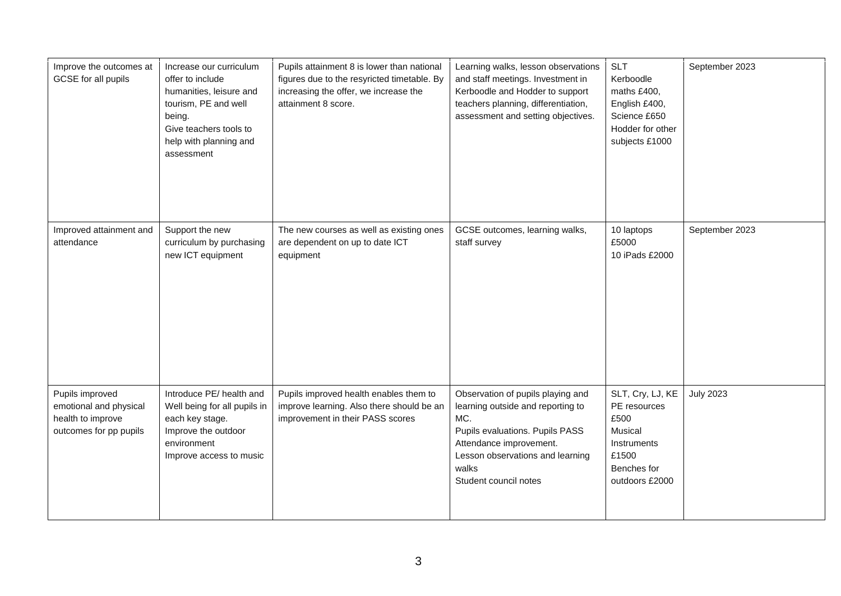| Improve the outcomes at<br>GCSE for all pupils                                           | Increase our curriculum<br>offer to include<br>humanities, leisure and<br>tourism, PE and well<br>being.<br>Give teachers tools to<br>help with planning and<br>assessment | Pupils attainment 8 is lower than national<br>figures due to the resyricted timetable. By<br>increasing the offer, we increase the<br>attainment 8 score. | Learning walks, lesson observations<br>and staff meetings. Investment in<br>Kerboodle and Hodder to support<br>teachers planning, differentiation,<br>assessment and setting objectives.                          | <b>SLT</b><br>Kerboodle<br>maths £400,<br>English £400,<br>Science £650<br>Hodder for other<br>subjects £1000 | September 2023   |
|------------------------------------------------------------------------------------------|----------------------------------------------------------------------------------------------------------------------------------------------------------------------------|-----------------------------------------------------------------------------------------------------------------------------------------------------------|-------------------------------------------------------------------------------------------------------------------------------------------------------------------------------------------------------------------|---------------------------------------------------------------------------------------------------------------|------------------|
| Improved attainment and<br>attendance                                                    | Support the new<br>curriculum by purchasing<br>new ICT equipment                                                                                                           | The new courses as well as existing ones<br>are dependent on up to date ICT<br>equipment                                                                  | GCSE outcomes, learning walks,<br>staff survey                                                                                                                                                                    | 10 laptops<br>£5000<br>10 iPads £2000                                                                         | September 2023   |
| Pupils improved<br>emotional and physical<br>health to improve<br>outcomes for pp pupils | Introduce PE/ health and<br>Well being for all pupils in<br>each key stage.<br>Improve the outdoor<br>environment<br>Improve access to music                               | Pupils improved health enables them to<br>improve learning. Also there should be an<br>improvement in their PASS scores                                   | Observation of pupils playing and<br>learning outside and reporting to<br>MC.<br>Pupils evaluations. Pupils PASS<br>Attendance improvement.<br>Lesson observations and learning<br>walks<br>Student council notes | SLT, Cry, LJ, KE<br>PE resources<br>£500<br>Musical<br>Instruments<br>£1500<br>Benches for<br>outdoors £2000  | <b>July 2023</b> |